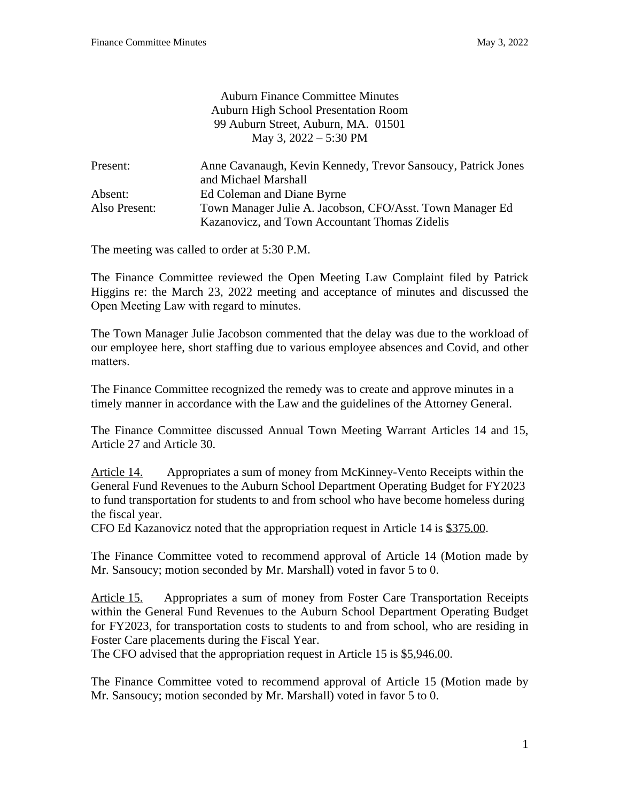### Auburn Finance Committee Minutes Auburn High School Presentation Room 99 Auburn Street, Auburn, MA. 01501 May 3, 2022 – 5:30 PM

| Present:      | Anne Cavanaugh, Kevin Kennedy, Trevor Sansoucy, Patrick Jones |
|---------------|---------------------------------------------------------------|
|               | and Michael Marshall                                          |
| Absent:       | Ed Coleman and Diane Byrne                                    |
| Also Present: | Town Manager Julie A. Jacobson, CFO/Asst. Town Manager Ed     |
|               | Kazanovicz, and Town Accountant Thomas Zidelis                |

The meeting was called to order at 5:30 P.M.

The Finance Committee reviewed the Open Meeting Law Complaint filed by Patrick Higgins re: the March 23, 2022 meeting and acceptance of minutes and discussed the Open Meeting Law with regard to minutes.

The Town Manager Julie Jacobson commented that the delay was due to the workload of our employee here, short staffing due to various employee absences and Covid, and other matters.

The Finance Committee recognized the remedy was to create and approve minutes in a timely manner in accordance with the Law and the guidelines of the Attorney General.

The Finance Committee discussed Annual Town Meeting Warrant Articles 14 and 15, Article 27 and Article 30.

Article 14. Appropriates a sum of money from McKinney-Vento Receipts within the General Fund Revenues to the Auburn School Department Operating Budget for FY2023 to fund transportation for students to and from school who have become homeless during the fiscal year.

CFO Ed Kazanovicz noted that the appropriation request in Article 14 is \$375.00.

The Finance Committee voted to recommend approval of Article 14 (Motion made by Mr. Sansoucy; motion seconded by Mr. Marshall) voted in favor 5 to 0.

Article 15. Appropriates a sum of money from Foster Care Transportation Receipts within the General Fund Revenues to the Auburn School Department Operating Budget for FY2023, for transportation costs to students to and from school, who are residing in Foster Care placements during the Fiscal Year.

The CFO advised that the appropriation request in Article 15 is \$5,946.00.

The Finance Committee voted to recommend approval of Article 15 (Motion made by Mr. Sansoucy; motion seconded by Mr. Marshall) voted in favor 5 to 0.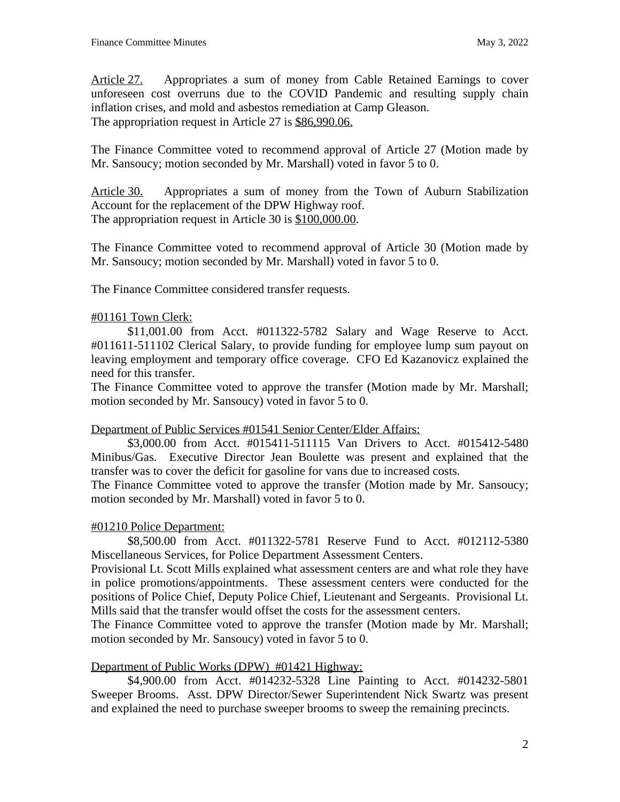Article 27. Appropriates a sum of money from Cable Retained Earnings to cover unforeseen cost overruns due to the COVID Pandemic and resulting supply chain inflation crises, and mold and asbestos remediation at Camp Gleason. The appropriation request in Article 27 is \$86,990.06.

The Finance Committee voted to recommend approval of Article 27 (Motion made by Mr. Sansoucy; motion seconded by Mr. Marshall) voted in favor 5 to 0.

Article 30. Appropriates a sum of money from the Town of Auburn Stabilization Account for the replacement of the DPW Highway roof. The appropriation request in Article 30 is \$100,000.00.

The Finance Committee voted to recommend approval of Article 30 (Motion made by Mr. Sansoucy; motion seconded by Mr. Marshall) voted in favor 5 to 0.

The Finance Committee considered transfer requests.

# #01161 Town Clerk:

\$11,001.00 from Acct. #011322-5782 Salary and Wage Reserve to Acct. #011611-511102 Clerical Salary, to provide funding for employee lump sum payout on leaving employment and temporary office coverage. CFO Ed Kazanovicz explained the need for this transfer.

The Finance Committee voted to approve the transfer (Motion made by Mr. Marshall; motion seconded by Mr. Sansoucy) voted in favor 5 to 0.

### Department of Public Services #01541 Senior Center/Elder Affairs:

\$3,000.00 from Acct. #015411-511115 Van Drivers to Acct. #015412-5480 Minibus/Gas. Executive Director Jean Boulette was present and explained that the transfer was to cover the deficit for gasoline for vans due to increased costs.

The Finance Committee voted to approve the transfer (Motion made by Mr. Sansoucy; motion seconded by Mr. Marshall) voted in favor 5 to 0.

# #01210 Police Department:

\$8,500.00 from Acct. #011322-5781 Reserve Fund to Acct. #012112-5380 Miscellaneous Services, for Police Department Assessment Centers.

Provisional Lt. Scott Mills explained what assessment centers are and what role they have in police promotions/appointments. These assessment centers were conducted for the positions of Police Chief, Deputy Police Chief, Lieutenant and Sergeants. Provisional Lt. Mills said that the transfer would offset the costs for the assessment centers.

The Finance Committee voted to approve the transfer (Motion made by Mr. Marshall; motion seconded by Mr. Sansoucy) voted in favor 5 to 0.

### Department of Public Works (DPW) #01421 Highway:

\$4,900.00 from Acct. #014232-5328 Line Painting to Acct. #014232-5801 Sweeper Brooms. Asst. DPW Director/Sewer Superintendent Nick Swartz was present and explained the need to purchase sweeper brooms to sweep the remaining precincts.